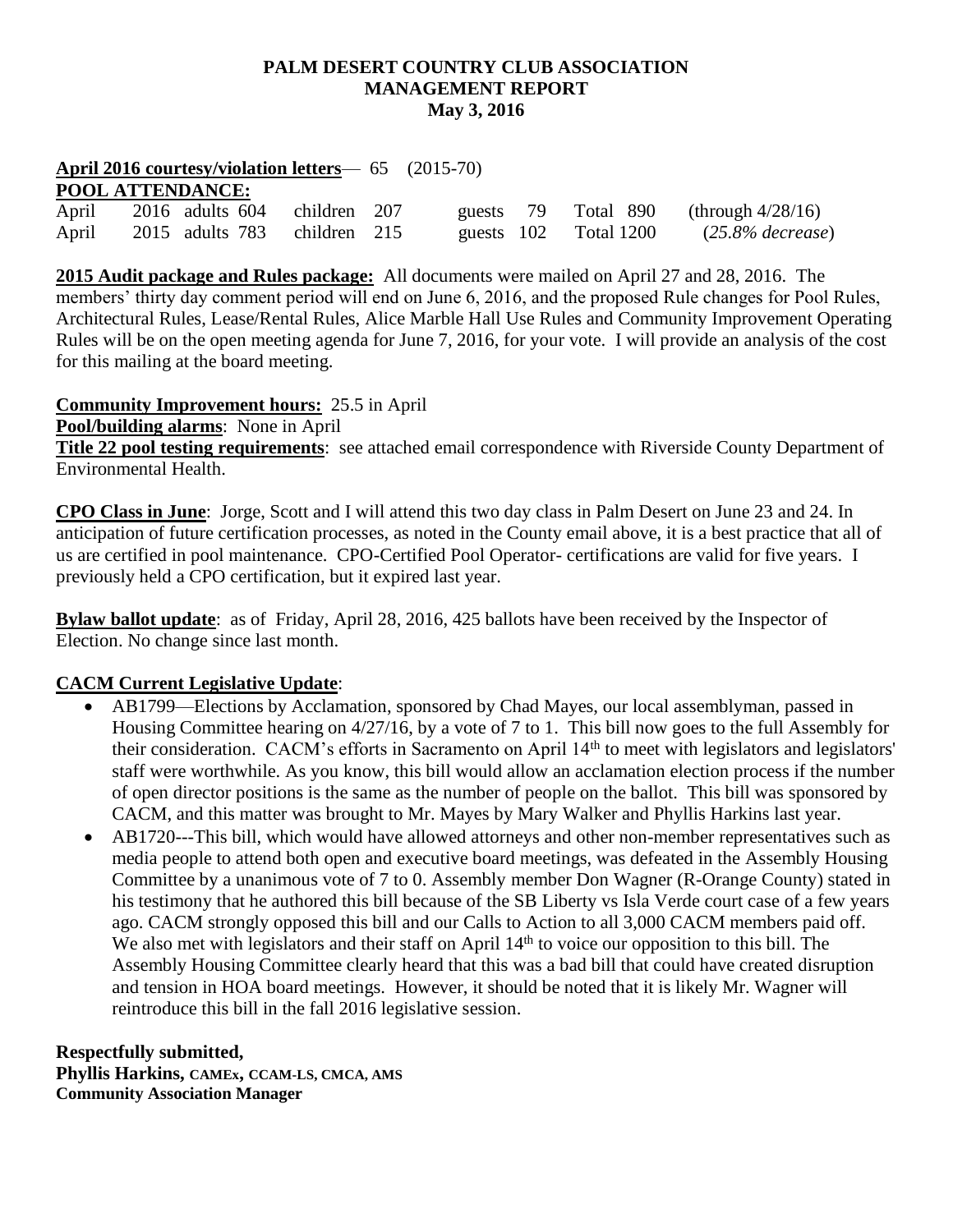### **PALM DESERT COUNTRY CLUB ASSOCIATION MANAGEMENT REPORT May 3, 2016**

### **April 2016 courtesy/violation letters**— 65 (2015-70)

# **POOL ATTENDANCE:**

| April | 2016 adults 604 children 207 |            |            | guests $79$ Total $890$ (through $4/28/16$ ) |
|-------|------------------------------|------------|------------|----------------------------------------------|
| April | 2015 adults 783 children 215 | guests 102 | Total 1200 | $(25.8\%$ decrease)                          |

**2015 Audit package and Rules package:** All documents were mailed on April 27 and 28, 2016. The members' thirty day comment period will end on June 6, 2016, and the proposed Rule changes for Pool Rules, Architectural Rules, Lease/Rental Rules, Alice Marble Hall Use Rules and Community Improvement Operating Rules will be on the open meeting agenda for June 7, 2016, for your vote. I will provide an analysis of the cost for this mailing at the board meeting.

**Community Improvement hours:** 25.5 in April

**Pool/building alarms**: None in April

**Title 22 pool testing requirements**: see attached email correspondence with Riverside County Department of Environmental Health.

**CPO Class in June**: Jorge, Scott and I will attend this two day class in Palm Desert on June 23 and 24. In anticipation of future certification processes, as noted in the County email above, it is a best practice that all of us are certified in pool maintenance. CPO-Certified Pool Operator- certifications are valid for five years. I previously held a CPO certification, but it expired last year.

**Bylaw ballot update**: as of Friday, April 28, 2016, 425 ballots have been received by the Inspector of Election. No change since last month.

## **CACM Current Legislative Update**:

- AB1799—Elections by Acclamation, sponsored by Chad Mayes, our local assemblyman, passed in Housing Committee hearing on 4/27/16, by a vote of 7 to 1. This bill now goes to the full Assembly for their consideration. CACM's efforts in Sacramento on April 14<sup>th</sup> to meet with legislators and legislators' staff were worthwhile. As you know, this bill would allow an acclamation election process if the number of open director positions is the same as the number of people on the ballot. This bill was sponsored by CACM, and this matter was brought to Mr. Mayes by Mary Walker and Phyllis Harkins last year.
- AB1720---This bill, which would have allowed attorneys and other non-member representatives such as media people to attend both open and executive board meetings, was defeated in the Assembly Housing Committee by a unanimous vote of 7 to 0. Assembly member Don Wagner (R-Orange County) stated in his testimony that he authored this bill because of the SB Liberty vs Isla Verde court case of a few years ago. CACM strongly opposed this bill and our Calls to Action to all 3,000 CACM members paid off. We also met with legislators and their staff on April  $14<sup>th</sup>$  to voice our opposition to this bill. The Assembly Housing Committee clearly heard that this was a bad bill that could have created disruption and tension in HOA board meetings. However, it should be noted that it is likely Mr. Wagner will reintroduce this bill in the fall 2016 legislative session.

**Respectfully submitted, Phyllis Harkins, CAMEx, CCAM-LS, CMCA, AMS Community Association Manager**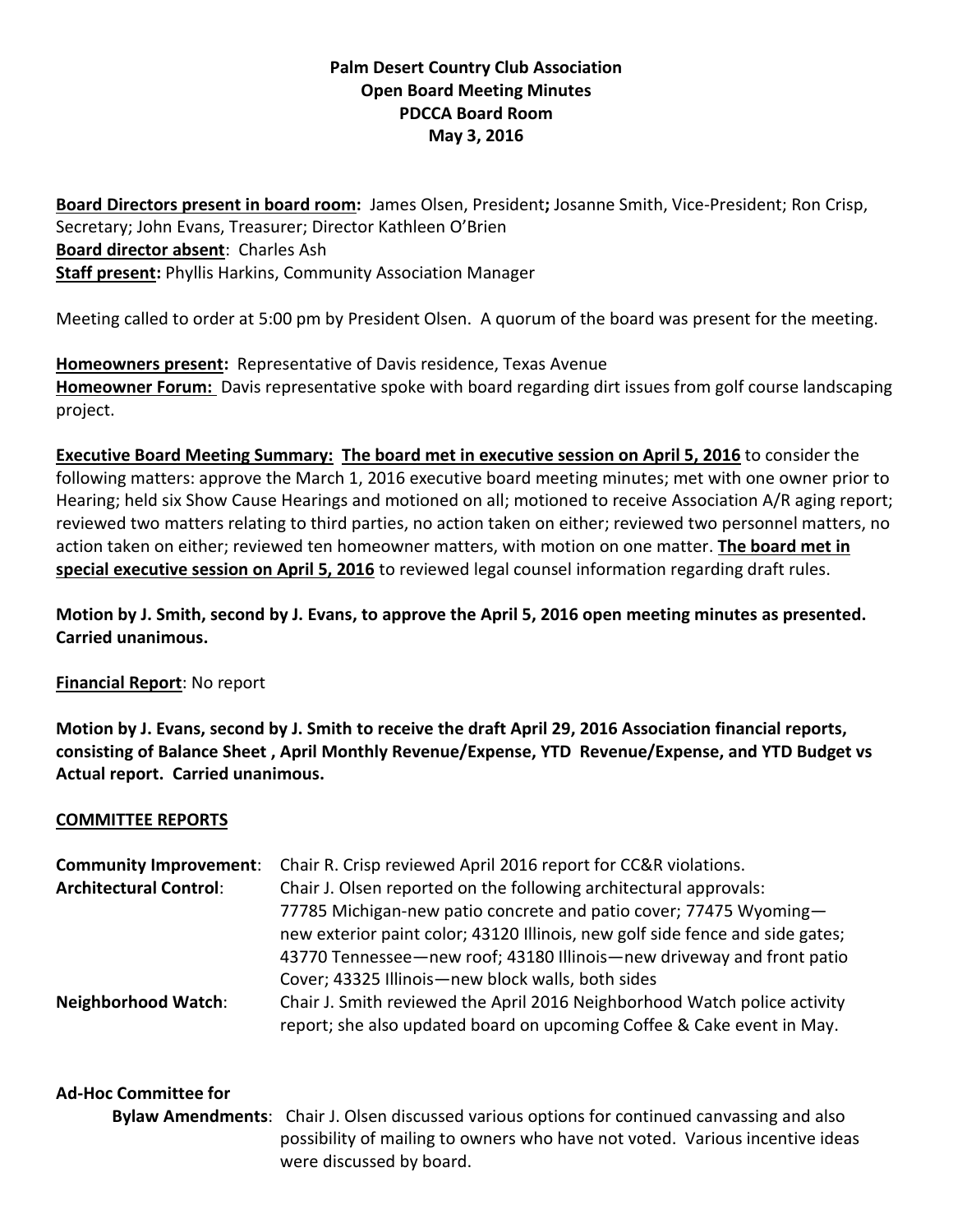# **Palm Desert Country Club Association Open Board Meeting Minutes PDCCA Board Room May 3, 2016**

**Board Directors present in board room:** James Olsen, President**;** Josanne Smith, Vice-President; Ron Crisp, Secretary; John Evans, Treasurer; Director Kathleen O'Brien **Board director absent**: Charles Ash **Staff present:** Phyllis Harkins, Community Association Manager

Meeting called to order at 5:00 pm by President Olsen. A quorum of the board was present for the meeting.

**Homeowners present:** Representative of Davis residence, Texas Avenue **Homeowner Forum:** Davis representative spoke with board regarding dirt issues from golf course landscaping project.

**Executive Board Meeting Summary: The board met in executive session on April 5, 2016** to consider the following matters: approve the March 1, 2016 executive board meeting minutes; met with one owner prior to Hearing; held six Show Cause Hearings and motioned on all; motioned to receive Association A/R aging report; reviewed two matters relating to third parties, no action taken on either; reviewed two personnel matters, no action taken on either; reviewed ten homeowner matters, with motion on one matter. **The board met in special executive session on April 5, 2016** to reviewed legal counsel information regarding draft rules.

**Motion by J. Smith, second by J. Evans, to approve the April 5, 2016 open meeting minutes as presented. Carried unanimous.**

#### **Financial Report**: No report

**Motion by J. Evans, second by J. Smith to receive the draft April 29, 2016 Association financial reports, consisting of Balance Sheet , April Monthly Revenue/Expense, YTD Revenue/Expense, and YTD Budget vs Actual report. Carried unanimous.**

#### **COMMITTEE REPORTS**

| <b>Community Improvement:</b> | Chair R. Crisp reviewed April 2016 report for CC&R violations.                                                                                      |  |  |
|-------------------------------|-----------------------------------------------------------------------------------------------------------------------------------------------------|--|--|
| <b>Architectural Control:</b> | Chair J. Olsen reported on the following architectural approvals:                                                                                   |  |  |
|                               | 77785 Michigan-new patio concrete and patio cover; 77475 Wyoming-                                                                                   |  |  |
|                               | new exterior paint color; 43120 Illinois, new golf side fence and side gates;                                                                       |  |  |
|                               | 43770 Tennessee — new roof; 43180 Illinois — new driveway and front patio                                                                           |  |  |
|                               | Cover; 43325 Illinois-new block walls, both sides                                                                                                   |  |  |
| <b>Neighborhood Watch:</b>    | Chair J. Smith reviewed the April 2016 Neighborhood Watch police activity<br>report; she also updated board on upcoming Coffee & Cake event in May. |  |  |

## **Ad-Hoc Committee for**

**Bylaw Amendments**: Chair J. Olsen discussed various options for continued canvassing and also possibility of mailing to owners who have not voted. Various incentive ideas were discussed by board.